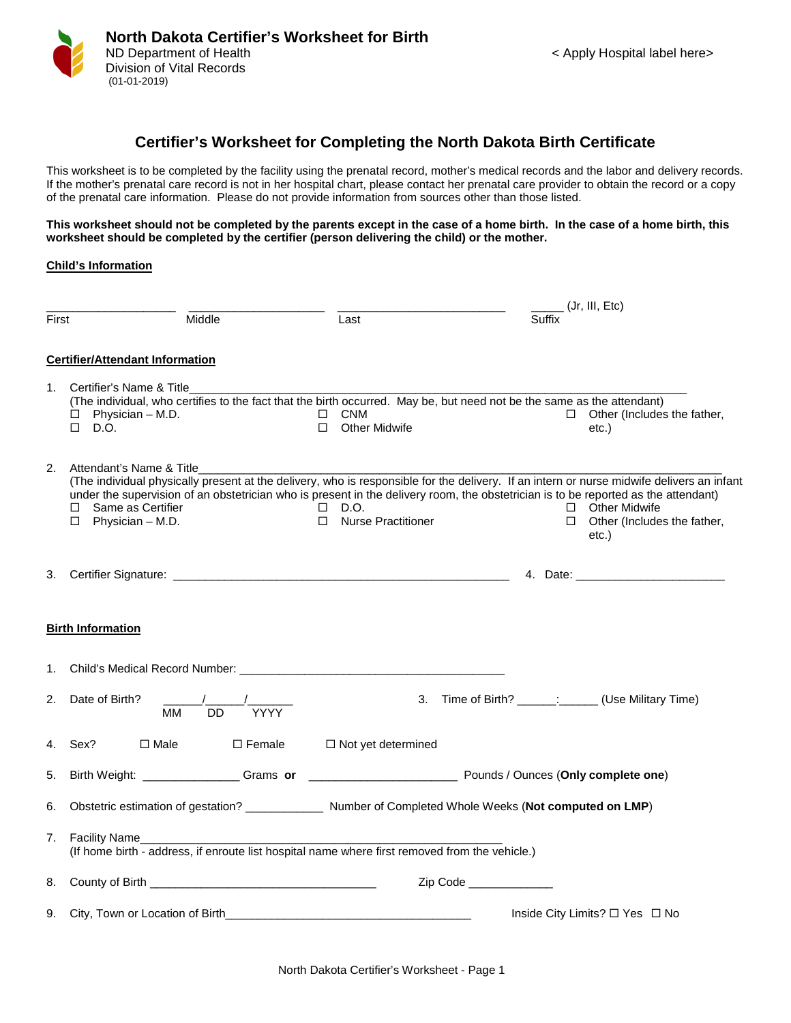

## **Certifier's Worksheet for Completing the North Dakota Birth Certificate**

This worksheet is to be completed by the facility using the prenatal record, mother's medical records and the labor and delivery records. If the mother's prenatal care record is not in her hospital chart, please contact her prenatal care provider to obtain the record or a copy of the prenatal care information. Please do not provide information from sources other than those listed.

**This worksheet should not be completed by the parents except in the case of a home birth. In the case of a home birth, this worksheet should be completed by the certifier (person delivering the child) or the mother.**

## **Child's Information**

|       |                                                                                                                                                                                                                                                                                                                                                                 |                                                       |          | $\frac{1}{\sqrt{1-\frac{1}{2}}}$ (Jr, III, Etc)                        |
|-------|-----------------------------------------------------------------------------------------------------------------------------------------------------------------------------------------------------------------------------------------------------------------------------------------------------------------------------------------------------------------|-------------------------------------------------------|----------|------------------------------------------------------------------------|
| First | Middle                                                                                                                                                                                                                                                                                                                                                          | Last                                                  | Suffix   |                                                                        |
|       | <b>Certifier/Attendant Information</b>                                                                                                                                                                                                                                                                                                                          |                                                       |          |                                                                        |
| 1.    | Certifier's Name & Title<br>(The individual, who certifies to the fact that the birth occurred. May be, but need not be the same as the attendant)<br>Physician - M.D.<br>$\Box$<br>$\Box$ D.O.                                                                                                                                                                 | $\Box$ CNM<br><b>Other Midwife</b><br>П.              |          | $\Box$ Other (Includes the father,<br>etc.)                            |
| 2.    | Attendant's Name & Title<br>(The individual physically present at the delivery, who is responsible for the delivery. If an intern or nurse midwife delivers an infant<br>under the supervision of an obstetrician who is present in the delivery room, the obstetrician is to be reported as the attendant)<br>Same as Certifier<br>П.<br>Physician - M.D.<br>□ | D.O.<br>$\Box$<br><b>Nurse Practitioner</b><br>$\Box$ |          | $\Box$ Other Midwife<br>$\Box$<br>Other (Includes the father,<br>etc.) |
| 3.    |                                                                                                                                                                                                                                                                                                                                                                 |                                                       |          |                                                                        |
|       | <b>Birth Information</b>                                                                                                                                                                                                                                                                                                                                        |                                                       |          |                                                                        |
| 1.    |                                                                                                                                                                                                                                                                                                                                                                 |                                                       |          |                                                                        |
| 2.    | Date of Birth?<br>$\overline{DD}$<br><b>YYYY</b><br>MМ                                                                                                                                                                                                                                                                                                          | 3.                                                    |          | Time of Birth? ______: (Use Military Time)                             |
| 4.    | Sex?<br>$\square$ Male<br>$\Box$ Female                                                                                                                                                                                                                                                                                                                         | □ Not yet determined                                  |          |                                                                        |
| 5.    |                                                                                                                                                                                                                                                                                                                                                                 |                                                       |          |                                                                        |
| 6.    |                                                                                                                                                                                                                                                                                                                                                                 |                                                       |          |                                                                        |
| 7.    | <b>Facility Name</b><br>(If home birth - address, if enroute list hospital name where first removed from the vehicle.)                                                                                                                                                                                                                                          |                                                       |          |                                                                        |
| 8.    |                                                                                                                                                                                                                                                                                                                                                                 |                                                       | Zip Code |                                                                        |
| 9.    |                                                                                                                                                                                                                                                                                                                                                                 |                                                       |          | Inside City Limits? □ Yes □ No                                         |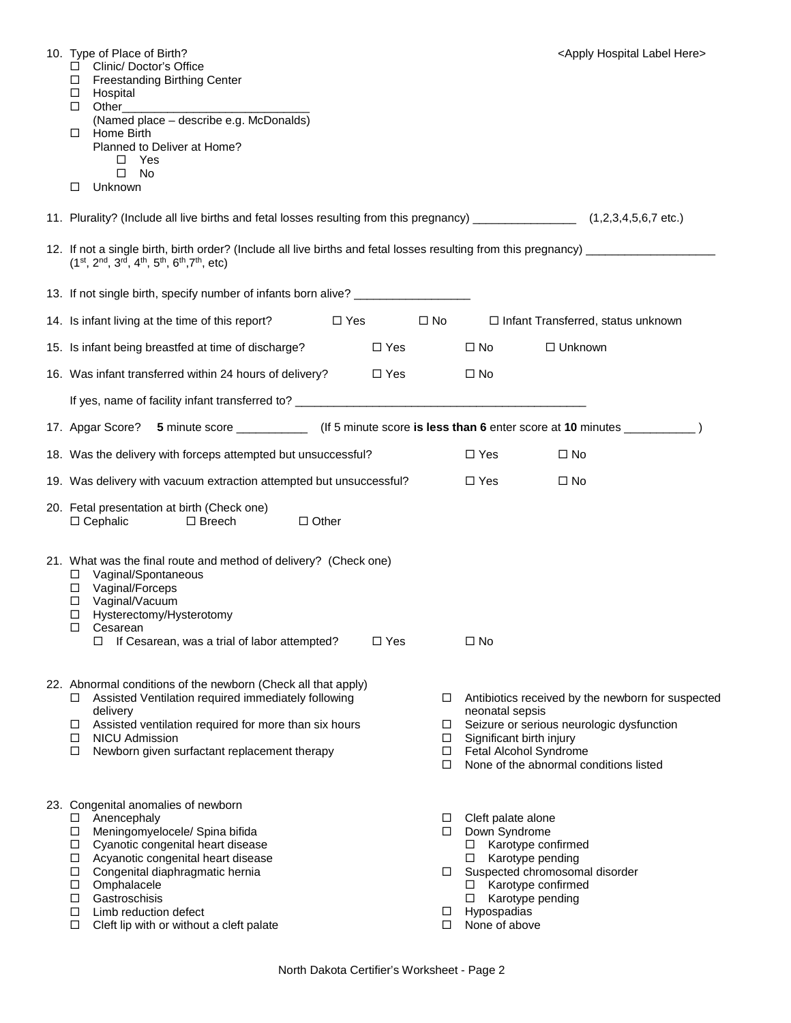| 10. Type of Place of Birth?<br>□ Clinic/ Doctor's Office<br><b>Freestanding Birthing Center</b><br>$\Box$<br>Hospital<br>□<br>Other<br>□<br>(Named place - describe e.g. McDonalds)<br>Home Birth<br>□<br>Planned to Deliver at Home?<br>Yes<br>□<br>$\Box$<br>No<br>Unknown<br>□                                                                                   |               |                            |                                                                                                   | <apply here="" hospital="" label=""></apply>                                                                                                                       |  |
|---------------------------------------------------------------------------------------------------------------------------------------------------------------------------------------------------------------------------------------------------------------------------------------------------------------------------------------------------------------------|---------------|----------------------------|---------------------------------------------------------------------------------------------------|--------------------------------------------------------------------------------------------------------------------------------------------------------------------|--|
| 11. Plurality? (Include all live births and fetal losses resulting from this pregnancy) _________________ (1,2,3,4,5,6,7 etc.)                                                                                                                                                                                                                                      |               |                            |                                                                                                   |                                                                                                                                                                    |  |
| 12. If not a single birth, birth order? (Include all live births and fetal losses resulting from this pregnancy) ______________________<br>$(1st, 2nd, 3rd, 4th, 5th, 6th, 7th, etc)$                                                                                                                                                                               |               |                            |                                                                                                   |                                                                                                                                                                    |  |
| 13. If not single birth, specify number of infants born alive? _________________                                                                                                                                                                                                                                                                                    |               |                            |                                                                                                   |                                                                                                                                                                    |  |
| 14. Is infant living at the time of this report?<br>$\Box$ Yes                                                                                                                                                                                                                                                                                                      |               | $\square$ No               |                                                                                                   | $\Box$ Infant Transferred, status unknown                                                                                                                          |  |
| 15. Is infant being breastfed at time of discharge?                                                                                                                                                                                                                                                                                                                 | □ Yes         |                            | $\square$ No                                                                                      | $\Box$ Unknown                                                                                                                                                     |  |
| 16. Was infant transferred within 24 hours of delivery?                                                                                                                                                                                                                                                                                                             | $\square$ Yes |                            | $\Box$ No                                                                                         |                                                                                                                                                                    |  |
|                                                                                                                                                                                                                                                                                                                                                                     |               |                            |                                                                                                   |                                                                                                                                                                    |  |
| 17. Apgar Score? 5 minute score ______________ (If 5 minute score is less than 6 enter score at 10 minutes __________                                                                                                                                                                                                                                               |               |                            |                                                                                                   |                                                                                                                                                                    |  |
| 18. Was the delivery with forceps attempted but unsuccessful?                                                                                                                                                                                                                                                                                                       |               |                            | $\Box$ Yes                                                                                        | $\Box$ No                                                                                                                                                          |  |
| 19. Was delivery with vacuum extraction attempted but unsuccessful?                                                                                                                                                                                                                                                                                                 |               |                            | $\Box$ Yes                                                                                        | $\square$ No                                                                                                                                                       |  |
| 20. Fetal presentation at birth (Check one)<br>$\Box$ Cephalic<br>$\Box$ Other<br>D Breech                                                                                                                                                                                                                                                                          |               |                            |                                                                                                   |                                                                                                                                                                    |  |
| 21. What was the final route and method of delivery? (Check one)<br>Vaginal/Spontaneous<br>□<br>Vaginal/Forceps<br>$\Box$<br>Vaginal/Vacuum<br>$\Box$<br>Hysterectomy/Hysterotomy<br>□<br>Cesarean<br>ப<br>If Cesarean, was a trial of labor attempted?<br>◻                                                                                                        | $\Box$ Yes    |                            | $\Box$ No                                                                                         |                                                                                                                                                                    |  |
| 22. Abnormal conditions of the newborn (Check all that apply)<br>Assisted Ventilation required immediately following<br>□<br>delivery<br>Assisted ventilation required for more than six hours<br>$\Box$<br><b>NICU Admission</b><br>□<br>Newborn given surfactant replacement therapy<br>□                                                                         |               | □<br>$\Box$<br>□<br>□<br>П | neonatal sepsis<br>Significant birth injury                                                       | Antibiotics received by the newborn for suspected<br>Seizure or serious neurologic dysfunction<br>Fetal Alcohol Syndrome<br>None of the abnormal conditions listed |  |
| 23. Congenital anomalies of newborn<br>Anencephaly<br>$\Box$<br>Meningomyelocele/ Spina bifida<br>□<br>Cyanotic congenital heart disease<br>$\Box$<br>Acyanotic congenital heart disease<br>□<br>Congenital diaphragmatic hernia<br>□<br>Omphalacele<br>□<br>Gastroschisis<br>□<br>Limb reduction defect<br>□<br>$\Box$<br>Cleft lip with or without a cleft palate |               | □<br>□<br>□<br>$\Box$<br>П | Cleft palate alone<br>Down Syndrome<br>$\Box$<br>$\Box$<br>□<br>□<br>Hypospadias<br>None of above | Karotype confirmed<br>Karotype pending<br>Suspected chromosomal disorder<br>Karotype confirmed<br>Karotype pending                                                 |  |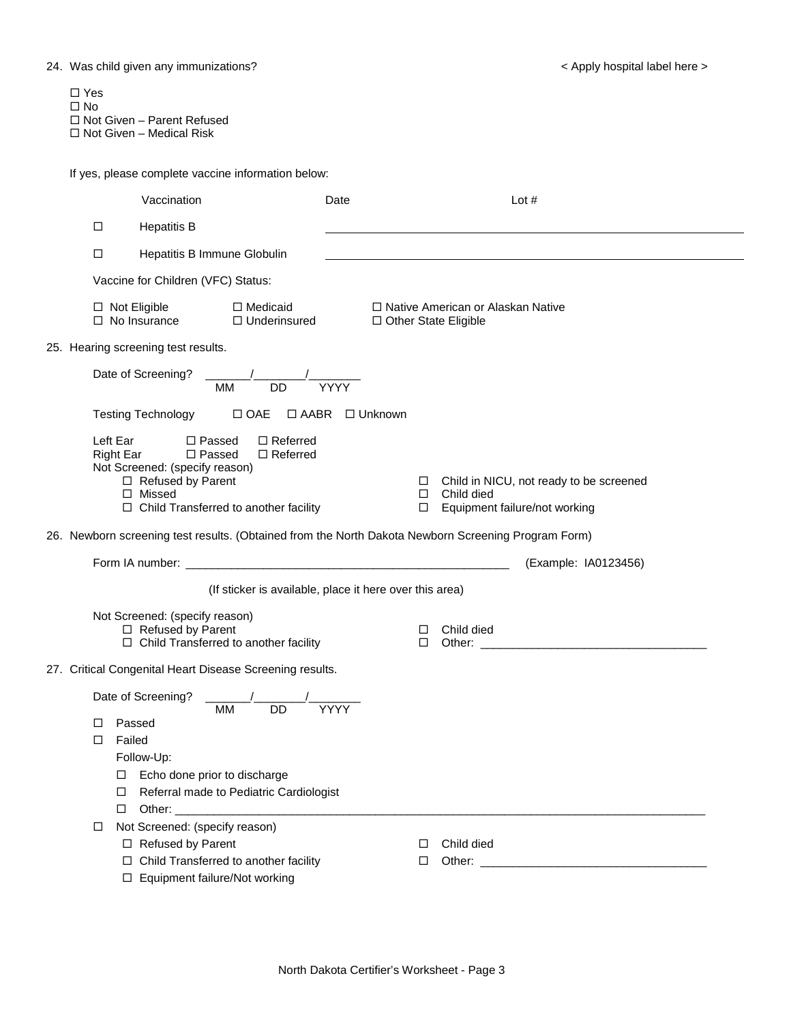| $\Box$ Yes                      |
|---------------------------------|
| $\Box$ No                       |
| □ Not Given – Parent Refused    |
| $\Box$ Not Given – Medical Risk |

If yes, please complete vaccine information below:

|                                                         |                                      | Vaccination                                                                                                                                                      |                                                      | Date                       |                        |                                             | Lot $#$                                           |  |
|---------------------------------------------------------|--------------------------------------|------------------------------------------------------------------------------------------------------------------------------------------------------------------|------------------------------------------------------|----------------------------|------------------------|---------------------------------------------|---------------------------------------------------|--|
|                                                         | □                                    | <b>Hepatitis B</b>                                                                                                                                               |                                                      |                            |                        |                                             |                                                   |  |
|                                                         | $\Box$                               | Hepatitis B Immune Globulin                                                                                                                                      |                                                      |                            |                        |                                             |                                                   |  |
|                                                         |                                      | Vaccine for Children (VFC) Status:                                                                                                                               |                                                      |                            |                        |                                             |                                                   |  |
|                                                         |                                      | $\Box$ Not Eligible<br>$\Box$ No Insurance                                                                                                                       | □ Medicaid<br>$\Box$ Underinsured                    |                            | □ Other State Eligible | □ Native American or Alaskan Native         |                                                   |  |
|                                                         |                                      | 25. Hearing screening test results.                                                                                                                              |                                                      |                            |                        |                                             |                                                   |  |
|                                                         |                                      | Date of Screening?<br><b>MM</b>                                                                                                                                  | <b>DD</b>                                            | $\sqrt{YYY}$               |                        |                                             |                                                   |  |
|                                                         |                                      | <b>Testing Technology</b>                                                                                                                                        | $\Box$ OAE                                           | $\Box$ AABR $\Box$ Unknown |                        |                                             |                                                   |  |
|                                                         | Left Ear<br>Right Ear                | $\Box$ Passed<br>$\square$ Passed<br>Not Screened: (specify reason)<br>$\Box$ Refused by Parent<br>$\Box$ Missed<br>$\Box$ Child Transferred to another facility | $\Box$ Referred<br>$\Box$ Referred                   |                            | □<br>□<br>$\Box$       | Child died<br>Equipment failure/not working | Child in NICU, not ready to be screened           |  |
|                                                         |                                      | 26. Newborn screening test results. (Obtained from the North Dakota Newborn Screening Program Form)                                                              |                                                      |                            |                        |                                             |                                                   |  |
|                                                         |                                      |                                                                                                                                                                  |                                                      |                            |                        |                                             | (Example: IA0123456)                              |  |
| (If sticker is available, place it here over this area) |                                      |                                                                                                                                                                  |                                                      |                            |                        |                                             |                                                   |  |
|                                                         |                                      | Not Screened: (specify reason)<br>□ Refused by Parent<br>□ Child Transferred to another facility                                                                 |                                                      |                            | □<br>□                 | Child died<br>Other:                        | <u> 1989 - Johann Barbara, martxa alemaniar a</u> |  |
|                                                         |                                      | 27. Critical Congenital Heart Disease Screening results.                                                                                                         |                                                      |                            |                        |                                             |                                                   |  |
|                                                         | ◻<br>Failed<br>□<br>□<br>⊔<br>□<br>◻ | Date of Screening?<br>MM<br>Passed<br>Follow-Up:<br>Echo done prior to discharge<br>Other:<br>Not Screened: (specify reason)                                     | <b>DD</b><br>Referral made to Pediatric Cardiologist | <b>YYYY</b>                |                        |                                             |                                                   |  |
|                                                         |                                      | □ Refused by Parent<br>□ Child Transferred to another facility<br>□ Equipment failure/Not working                                                                |                                                      |                            | □<br>□                 | Child died                                  |                                                   |  |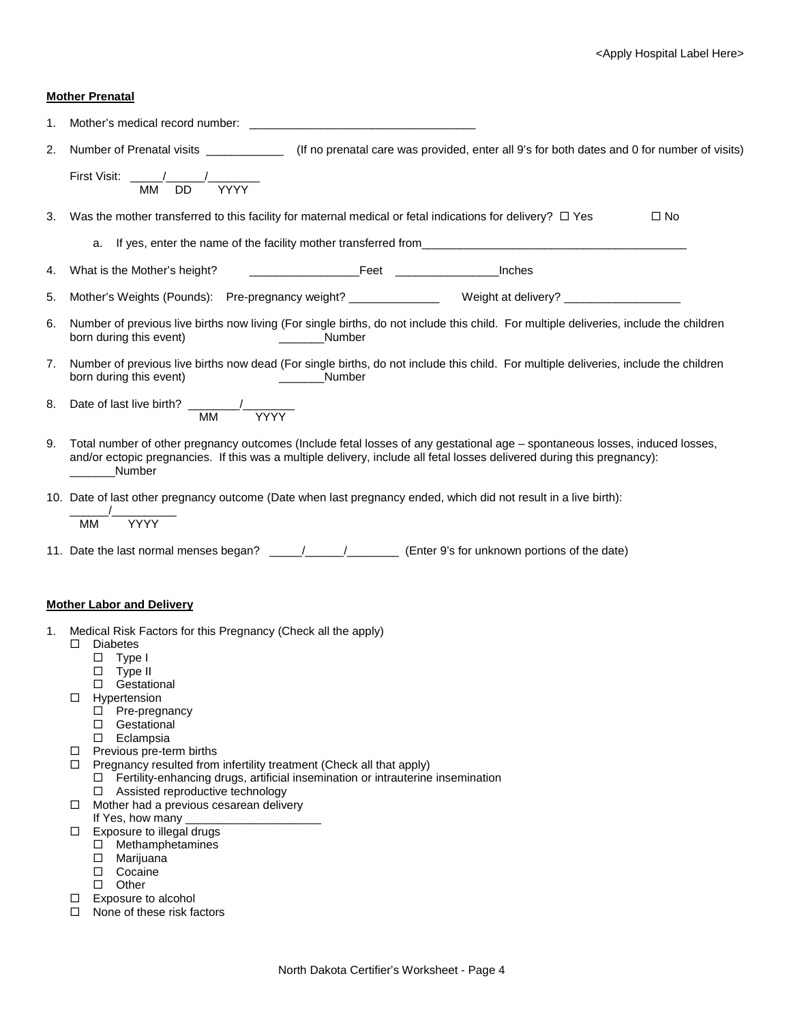## **Mother Prenatal**

| 1. | Mother's medical record number: New York Channels and the control of the control of the control of the control of the control of the control of the control of the control of the control of the control of the control of the                                   |
|----|------------------------------------------------------------------------------------------------------------------------------------------------------------------------------------------------------------------------------------------------------------------|
| 2. | Number of Prenatal visits _____________________(If no prenatal care was provided, enter all 9's for both dates and 0 for number of visits)                                                                                                                       |
|    | <b>YYYY</b><br>МM<br><b>DD</b>                                                                                                                                                                                                                                   |
| 3. | Was the mother transferred to this facility for maternal medical or fetal indications for delivery? $\Box$ Yes<br>$\square$ No                                                                                                                                   |
|    | a. If yes, enter the name of the facility mother transferred from___________________________________                                                                                                                                                             |
| 4. |                                                                                                                                                                                                                                                                  |
| 5. | Mother's Weights (Pounds): Pre-pregnancy weight? ________________ Weight at delivery? ______________                                                                                                                                                             |
| 6. | Number of previous live births now living (For single births, do not include this child. For multiple deliveries, include the children<br>born during this event)<br><b>Number</b>                                                                               |
| 7. | Number of previous live births now dead (For single births, do not include this child. For multiple deliveries, include the children<br>born during this event)<br>Number<br><u> 1980 - Jan Barbarat, politik politik (</u>                                      |
| 8. | Date of last live birth? $\frac{1}{M}$ MM<br>$M\overline{M}$                                                                                                                                                                                                     |
| 9. | Total number of other pregnancy outcomes (Include fetal losses of any gestational age - spontaneous losses, induced losses,<br>and/or ectopic pregnancies. If this was a multiple delivery, include all fetal losses delivered during this pregnancy):<br>Number |
|    | 10. Date of last other pregnancy outcome (Date when last pregnancy ended, which did not result in a live birth):<br><b>YYYY</b><br><b>MM</b>                                                                                                                     |
|    |                                                                                                                                                                                                                                                                  |
|    | <b>Mother Labor and Delivery</b>                                                                                                                                                                                                                                 |
| 1. | Medical Risk Factors for this Pregnancy (Check all the apply)                                                                                                                                                                                                    |
|    | <b>Diabetes</b><br>□<br>□<br>Type I<br>$\Box$ Type II<br>□ Gestational<br>Hypertension<br>□                                                                                                                                                                      |
|    | Pre-pregnancy<br>□<br>Gestational<br>□<br>Eclampsia<br>$\Box$                                                                                                                                                                                                    |
|    | Previous pre-term births<br>□<br>Pregnancy resulted from infertility treatment (Check all that apply)<br>$\Box$<br>Fertility-enhancing drugs, artificial insemination or intrauterine insemination<br>$\Box$<br>$\Box$ Assisted reproductive technology          |
|    | Mother had a previous cesarean delivery<br>0.                                                                                                                                                                                                                    |
|    | If Yes, how many<br>Exposure to illegal drugs<br>□                                                                                                                                                                                                               |
|    | Methamphetamines<br>$\Box$                                                                                                                                                                                                                                       |
|    | Marijuana<br>□<br>Cocaine<br>□                                                                                                                                                                                                                                   |
|    | Other<br>□                                                                                                                                                                                                                                                       |

- □ Exposure to alcohol
- □ None of these risk factors